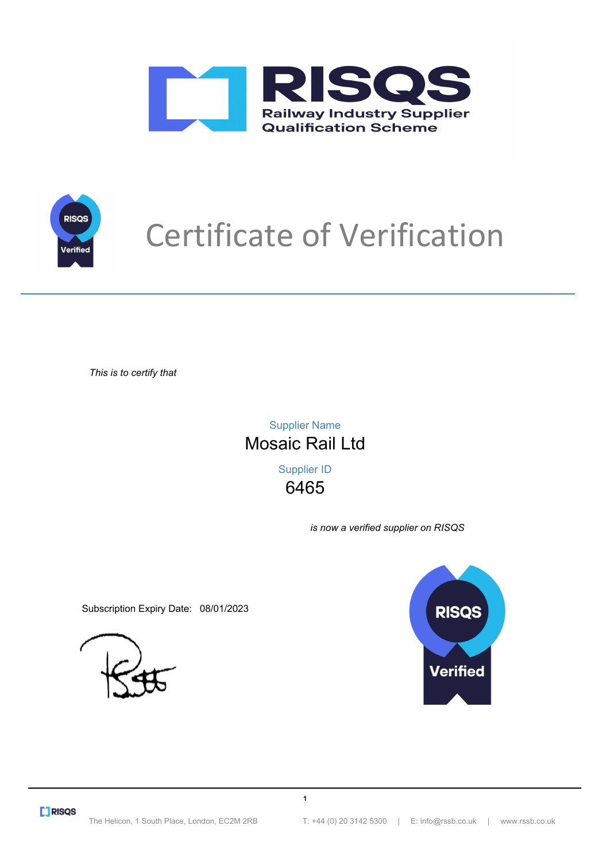



# Certificate of Verification

*This is to certify that*

6465 Supplier ID Mosaic Rail Ltd Supplier Name

**1**

*is now a verified supplier on RISQS*

Subscription Expiry Date: 08/01/2023



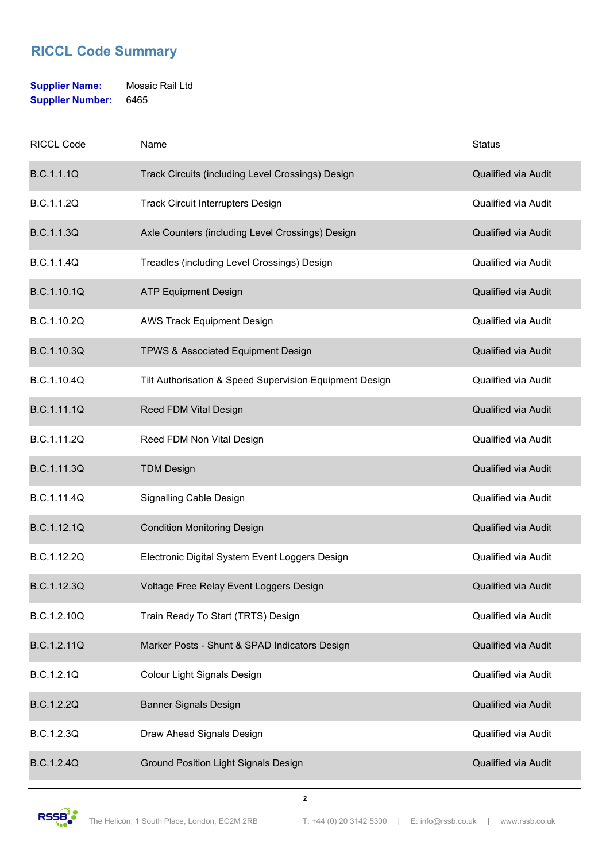### **Supplier Name:** Mosaic Rail Ltd **Supplier Number:** 6465

| <b>RICCL Code</b> | Name                                                    | <b>Status</b>              |
|-------------------|---------------------------------------------------------|----------------------------|
| <b>B.C.1.1.1Q</b> | Track Circuits (including Level Crossings) Design       | Qualified via Audit        |
| B.C.1.1.2Q        | <b>Track Circuit Interrupters Design</b>                | <b>Qualified via Audit</b> |
| <b>B.C.1.1.3Q</b> | Axle Counters (including Level Crossings) Design        | <b>Qualified via Audit</b> |
| <b>B.C.1.1.4Q</b> | Treadles (including Level Crossings) Design             | <b>Qualified via Audit</b> |
| B.C.1.10.1Q       | <b>ATP Equipment Design</b>                             | <b>Qualified via Audit</b> |
| B.C.1.10.2Q       | <b>AWS Track Equipment Design</b>                       | Qualified via Audit        |
| B.C.1.10.3Q       | TPWS & Associated Equipment Design                      | <b>Qualified via Audit</b> |
| B.C.1.10.4Q       | Tilt Authorisation & Speed Supervision Equipment Design | <b>Qualified via Audit</b> |
| B.C.1.11.1Q       | Reed FDM Vital Design                                   | Qualified via Audit        |
| B.C.1.11.2Q       | Reed FDM Non Vital Design                               | <b>Qualified via Audit</b> |
| B.C.1.11.3Q       | <b>TDM Design</b>                                       | Qualified via Audit        |
| B.C.1.11.4Q       | Signalling Cable Design                                 | <b>Qualified via Audit</b> |
| B.C.1.12.1Q       | <b>Condition Monitoring Design</b>                      | Qualified via Audit        |
| B.C.1.12.2Q       | Electronic Digital System Event Loggers Design          | Qualified via Audit        |
| B.C.1.12.3Q       | Voltage Free Relay Event Loggers Design                 | <b>Qualified via Audit</b> |
| B.C.1.2.10Q       | Train Ready To Start (TRTS) Design                      | <b>Qualified via Audit</b> |
| B.C.1.2.11Q       | Marker Posts - Shunt & SPAD Indicators Design           | Qualified via Audit        |
| B.C.1.2.1Q        | <b>Colour Light Signals Design</b>                      | Qualified via Audit        |
| B.C.1.2.2Q        | <b>Banner Signals Design</b>                            | Qualified via Audit        |
| B.C.1.2.3Q        | Draw Ahead Signals Design                               | Qualified via Audit        |
| <b>B.C.1.2.4Q</b> | <b>Ground Position Light Signals Design</b>             | Qualified via Audit        |

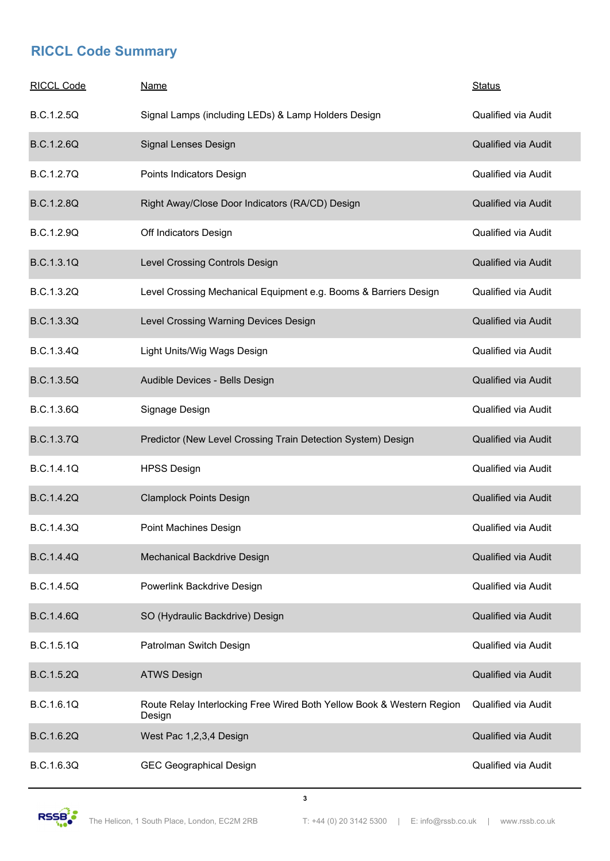| <b>RICCL Code</b> | <u>Name</u>                                                                     | <b>Status</b>              |
|-------------------|---------------------------------------------------------------------------------|----------------------------|
| B.C.1.2.5Q        | Signal Lamps (including LEDs) & Lamp Holders Design                             | <b>Qualified via Audit</b> |
| B.C.1.2.6Q        | Signal Lenses Design                                                            | Qualified via Audit        |
| <b>B.C.1.2.7Q</b> | Points Indicators Design                                                        | <b>Qualified via Audit</b> |
| <b>B.C.1.2.8Q</b> | Right Away/Close Door Indicators (RA/CD) Design                                 | <b>Qualified via Audit</b> |
| B.C.1.2.9Q        | Off Indicators Design                                                           | <b>Qualified via Audit</b> |
| <b>B.C.1.3.1Q</b> | Level Crossing Controls Design                                                  | <b>Qualified via Audit</b> |
| B.C.1.3.2Q        | Level Crossing Mechanical Equipment e.g. Booms & Barriers Design                | <b>Qualified via Audit</b> |
| B.C.1.3.3Q        | Level Crossing Warning Devices Design                                           | <b>Qualified via Audit</b> |
| <b>B.C.1.3.4Q</b> | Light Units/Wig Wags Design                                                     | Qualified via Audit        |
| <b>B.C.1.3.5Q</b> | Audible Devices - Bells Design                                                  | Qualified via Audit        |
| <b>B.C.1.3.6Q</b> | Signage Design                                                                  | <b>Qualified via Audit</b> |
| <b>B.C.1.3.7Q</b> | Predictor (New Level Crossing Train Detection System) Design                    | Qualified via Audit        |
| B.C.1.4.1Q        | <b>HPSS Design</b>                                                              | <b>Qualified via Audit</b> |
| <b>B.C.1.4.2Q</b> | <b>Clamplock Points Design</b>                                                  | Qualified via Audit        |
| <b>B.C.1.4.3Q</b> | Point Machines Design                                                           | <b>Qualified via Audit</b> |
| <b>B.C.1.4.4Q</b> | Mechanical Backdrive Design                                                     | <b>Qualified via Audit</b> |
| <b>B.C.1.4.5Q</b> | Powerlink Backdrive Design                                                      | <b>Qualified via Audit</b> |
| <b>B.C.1.4.6Q</b> | SO (Hydraulic Backdrive) Design                                                 | <b>Qualified via Audit</b> |
| B.C.1.5.1Q        | Patrolman Switch Design                                                         | <b>Qualified via Audit</b> |
| B.C.1.5.2Q        | <b>ATWS Design</b>                                                              | <b>Qualified via Audit</b> |
| B.C.1.6.1Q        | Route Relay Interlocking Free Wired Both Yellow Book & Western Region<br>Design | Qualified via Audit        |
| B.C.1.6.2Q        | West Pac 1,2,3,4 Design                                                         | Qualified via Audit        |
| B.C.1.6.3Q        | <b>GEC Geographical Design</b>                                                  | <b>Qualified via Audit</b> |

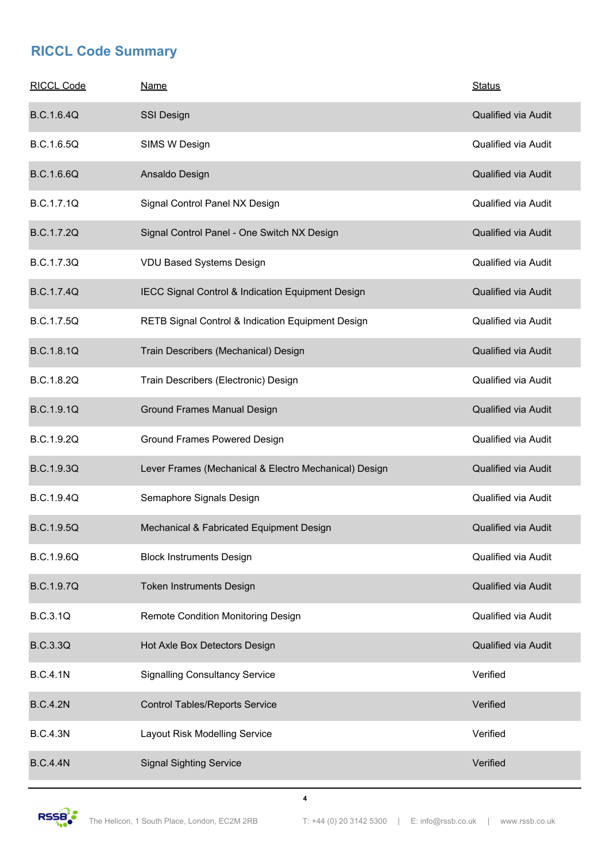| <b>RICCL Code</b> | <b>Name</b>                                           | <b>Status</b>              |
|-------------------|-------------------------------------------------------|----------------------------|
| <b>B.C.1.6.4Q</b> | <b>SSI Design</b>                                     | <b>Qualified via Audit</b> |
| B.C.1.6.5Q        | SIMS W Design                                         | <b>Qualified via Audit</b> |
| B.C.1.6.6Q        | Ansaldo Design                                        | Qualified via Audit        |
| B.C.1.7.1Q        | Signal Control Panel NX Design                        | <b>Qualified via Audit</b> |
| <b>B.C.1.7.2Q</b> | Signal Control Panel - One Switch NX Design           | Qualified via Audit        |
| B.C.1.7.3Q        | <b>VDU Based Systems Design</b>                       | <b>Qualified via Audit</b> |
| <b>B.C.1.7.4Q</b> | IECC Signal Control & Indication Equipment Design     | Qualified via Audit        |
| <b>B.C.1.7.5Q</b> | RETB Signal Control & Indication Equipment Design     | <b>Qualified via Audit</b> |
| <b>B.C.1.8.1Q</b> | Train Describers (Mechanical) Design                  | <b>Qualified via Audit</b> |
| B.C.1.8.2Q        | Train Describers (Electronic) Design                  | Qualified via Audit        |
| <b>B.C.1.9.1Q</b> | <b>Ground Frames Manual Design</b>                    | Qualified via Audit        |
| B.C.1.9.2Q        | <b>Ground Frames Powered Design</b>                   | <b>Qualified via Audit</b> |
| B.C.1.9.3Q        | Lever Frames (Mechanical & Electro Mechanical) Design | Qualified via Audit        |
| <b>B.C.1.9.4Q</b> | Semaphore Signals Design                              | Qualified via Audit        |
| <b>B.C.1.9.5Q</b> | Mechanical & Fabricated Equipment Design              | <b>Qualified via Audit</b> |
| B.C.1.9.6Q        | <b>Block Instruments Design</b>                       | <b>Qualified via Audit</b> |
| <b>B.C.1.9.7Q</b> | <b>Token Instruments Design</b>                       | Qualified via Audit        |
| <b>B.C.3.1Q</b>   | <b>Remote Condition Monitoring Design</b>             | Qualified via Audit        |
| <b>B.C.3.3Q</b>   | Hot Axle Box Detectors Design                         | Qualified via Audit        |
| <b>B.C.4.1N</b>   | <b>Signalling Consultancy Service</b>                 | Verified                   |
| <b>B.C.4.2N</b>   | <b>Control Tables/Reports Service</b>                 | Verified                   |
| <b>B.C.4.3N</b>   | Layout Risk Modelling Service                         | Verified                   |
| <b>B.C.4.4N</b>   | <b>Signal Sighting Service</b>                        | Verified                   |